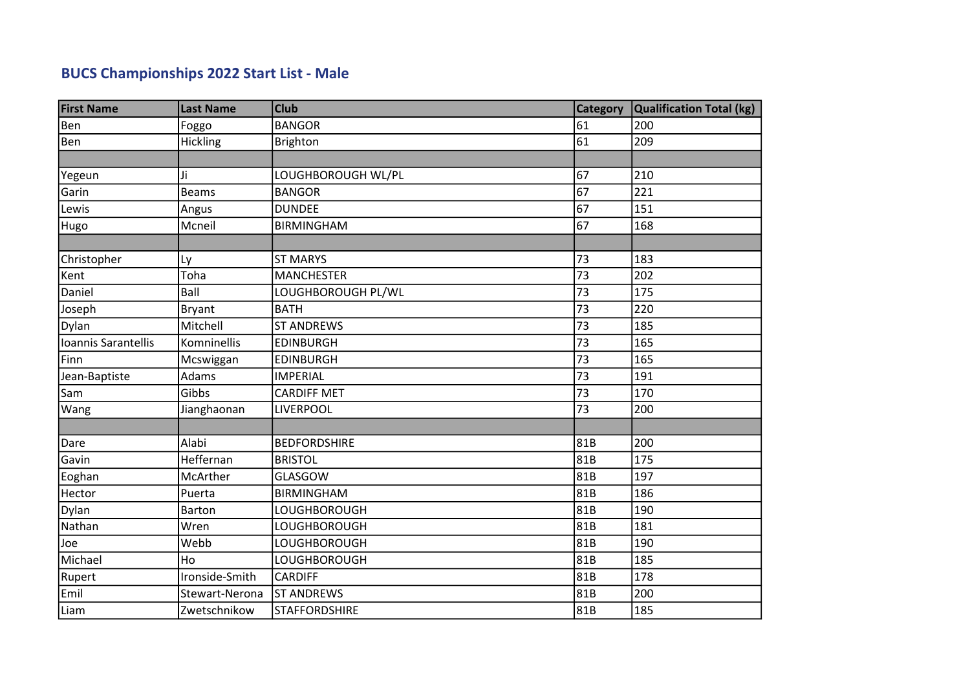## BUCS Championships 2022 Start List - Male

| <b>First Name</b>   | <b>Last Name</b> | <b>Club</b>          | <b>Category</b> | Qualification Total (kg) |
|---------------------|------------------|----------------------|-----------------|--------------------------|
| Ben                 | Foggo            | <b>BANGOR</b>        | 61              | 200                      |
| Ben                 | Hickling         | <b>Brighton</b>      | $\overline{61}$ | 209                      |
|                     |                  |                      |                 |                          |
| Yegeun              | Ji               | LOUGHBOROUGH WL/PL   | 67              | 210                      |
| Garin               | <b>Beams</b>     | <b>BANGOR</b>        | 67              | 221                      |
| Lewis               | Angus            | <b>DUNDEE</b>        | 67              | 151                      |
| Hugo                | Mcneil           | <b>BIRMINGHAM</b>    | 67              | 168                      |
|                     |                  |                      |                 |                          |
| Christopher         | Ly               | <b>ST MARYS</b>      | 73              | 183                      |
| Kent                | Toha             | <b>MANCHESTER</b>    | 73              | 202                      |
| Daniel              | Ball             | LOUGHBOROUGH PL/WL   | 73              | 175                      |
| Joseph              | <b>Bryant</b>    | <b>BATH</b>          | 73              | 220                      |
| Dylan               | Mitchell         | <b>ST ANDREWS</b>    | 73              | 185                      |
| Ioannis Sarantellis | Komninellis      | <b>EDINBURGH</b>     | 73              | 165                      |
| Finn                | Mcswiggan        | <b>EDINBURGH</b>     | 73              | 165                      |
| Jean-Baptiste       | Adams            | <b>IMPERIAL</b>      | 73              | 191                      |
| Sam                 | Gibbs            | <b>CARDIFF MET</b>   | 73              | 170                      |
| Wang                | Jianghaonan      | LIVERPOOL            | 73              | 200                      |
|                     |                  |                      |                 |                          |
| Dare                | Alabi            | <b>BEDFORDSHIRE</b>  | 81B             | 200                      |
| Gavin               | Heffernan        | <b>BRISTOL</b>       | 81B             | 175                      |
| Eoghan              | McArther         | <b>GLASGOW</b>       | 81B             | 197                      |
| Hector              | Puerta           | <b>BIRMINGHAM</b>    | 81B             | 186                      |
| Dylan               | <b>Barton</b>    | LOUGHBOROUGH         | 81B             | 190                      |
| Nathan              | Wren             | LOUGHBOROUGH         | 81B             | 181                      |
| Joe                 | Webb             | LOUGHBOROUGH         | 81B             | 190                      |
| Michael             | Ho               | LOUGHBOROUGH         | 81B             | 185                      |
| Rupert              | Ironside-Smith   | <b>CARDIFF</b>       | 81B             | 178                      |
| Emil                | Stewart-Nerona   | <b>ST ANDREWS</b>    | 81B             | 200                      |
| Liam                | Zwetschnikow     | <b>STAFFORDSHIRE</b> | 81B             | 185                      |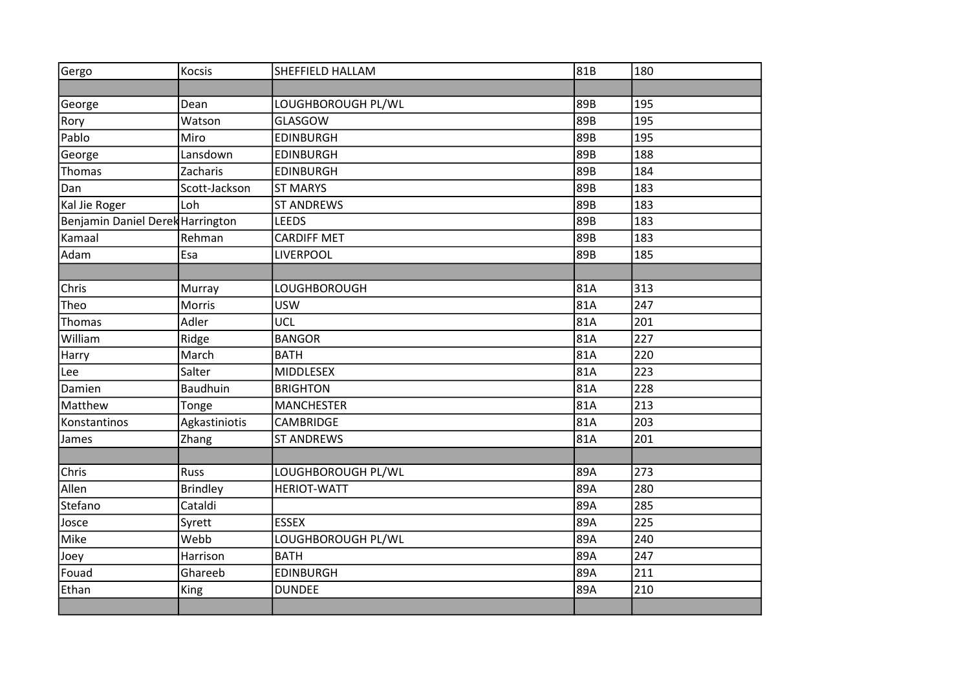| Gergo                            | Kocsis          | SHEFFIELD HALLAM   | 81B | 180 |
|----------------------------------|-----------------|--------------------|-----|-----|
|                                  |                 |                    |     |     |
| George                           | Dean            | LOUGHBOROUGH PL/WL | 89B | 195 |
| Rory                             | Watson          | <b>GLASGOW</b>     | 89B | 195 |
| Pablo                            | Miro            | <b>EDINBURGH</b>   | 89B | 195 |
| George                           | Lansdown        | <b>EDINBURGH</b>   | 89B | 188 |
| Thomas                           | Zacharis        | <b>EDINBURGH</b>   | 89B | 184 |
| Dan                              | Scott-Jackson   | <b>ST MARYS</b>    | 89B | 183 |
| Kal Jie Roger                    | Loh             | <b>ST ANDREWS</b>  | 89B | 183 |
| Benjamin Daniel Derek Harrington |                 | <b>LEEDS</b>       | 89B | 183 |
| Kamaal                           | Rehman          | <b>CARDIFF MET</b> | 89B | 183 |
| Adam                             | Esa             | LIVERPOOL          | 89B | 185 |
|                                  |                 |                    |     |     |
| Chris                            | Murray          | LOUGHBOROUGH       | 81A | 313 |
| Theo                             | Morris          | <b>USW</b>         | 81A | 247 |
| Thomas                           | Adler           | UCL                | 81A | 201 |
| William                          | Ridge           | <b>BANGOR</b>      | 81A | 227 |
| Harry                            | March           | <b>BATH</b>        | 81A | 220 |
| Lee                              | Salter          | <b>MIDDLESEX</b>   | 81A | 223 |
| Damien                           | Baudhuin        | <b>BRIGHTON</b>    | 81A | 228 |
| Matthew                          | Tonge           | <b>MANCHESTER</b>  | 81A | 213 |
| Konstantinos                     | Agkastiniotis   | <b>CAMBRIDGE</b>   | 81A | 203 |
| James                            | Zhang           | <b>ST ANDREWS</b>  | 81A | 201 |
|                                  |                 |                    |     |     |
| Chris                            | Russ            | LOUGHBOROUGH PL/WL | 89A | 273 |
| Allen                            | <b>Brindley</b> | <b>HERIOT-WATT</b> | 89A | 280 |
| Stefano                          | Cataldi         |                    | 89A | 285 |
| Josce                            | Syrett          | <b>ESSEX</b>       | 89A | 225 |
| Mike                             | Webb            | LOUGHBOROUGH PL/WL | 89A | 240 |
| Joey                             | Harrison        | <b>BATH</b>        | 89A | 247 |
| Fouad                            | Ghareeb         | <b>EDINBURGH</b>   | 89A | 211 |
| Ethan                            | King            | <b>DUNDEE</b>      | 89A | 210 |
|                                  |                 |                    |     |     |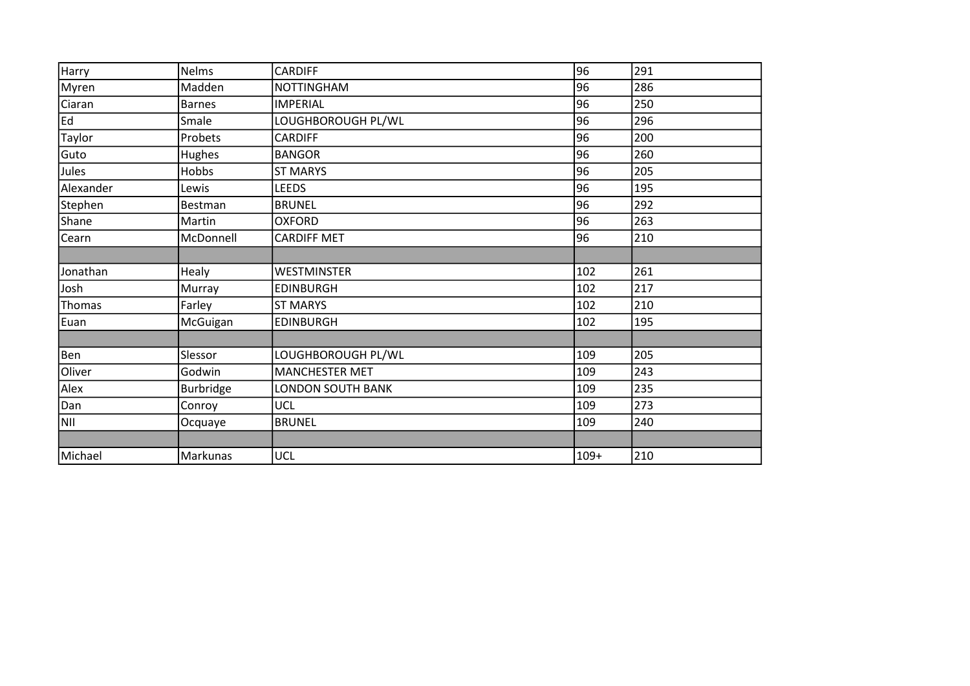| Harry      | <b>Nelms</b>     | <b>CARDIFF</b>           | 96     | 291 |
|------------|------------------|--------------------------|--------|-----|
| Myren      | Madden           | <b>NOTTINGHAM</b>        | 96     | 286 |
| Ciaran     | Barnes           | <b>IMPERIAL</b>          | 96     | 250 |
| Ed         | Smale            | LOUGHBOROUGH PL/WL       | 96     | 296 |
| Taylor     | Probets          | <b>CARDIFF</b>           | 96     | 200 |
| Guto       | Hughes           | <b>BANGOR</b>            | 96     | 260 |
| Jules      | Hobbs            | <b>ST MARYS</b>          | 96     | 205 |
| Alexander  | Lewis            | LEEDS                    | 96     | 195 |
| Stephen    | Bestman          | <b>BRUNEL</b>            | 96     | 292 |
| Shane      | Martin           | <b>OXFORD</b>            | 96     | 263 |
| Cearn      | McDonnell        | <b>CARDIFF MET</b>       | 96     | 210 |
|            |                  |                          |        |     |
| Jonathan   | Healy            | <b>WESTMINSTER</b>       | 102    | 261 |
| Josh       | Murray           | <b>EDINBURGH</b>         | 102    | 217 |
| Thomas     | Farley           | <b>ST MARYS</b>          | 102    | 210 |
| Euan       | McGuigan         | <b>EDINBURGH</b>         | 102    | 195 |
|            |                  |                          |        |     |
| Ben        | Slessor          | LOUGHBOROUGH PL/WL       | 109    | 205 |
| Oliver     | Godwin           | <b>MANCHESTER MET</b>    | 109    | 243 |
| Alex       | <b>Burbridge</b> | <b>LONDON SOUTH BANK</b> | 109    | 235 |
| Dan        | Conroy           | <b>UCL</b>               | 109    | 273 |
| <b>NII</b> | Ocquaye          | <b>BRUNEL</b>            | 109    | 240 |
|            |                  |                          |        |     |
| Michael    | Markunas         | <b>UCL</b>               | $109+$ | 210 |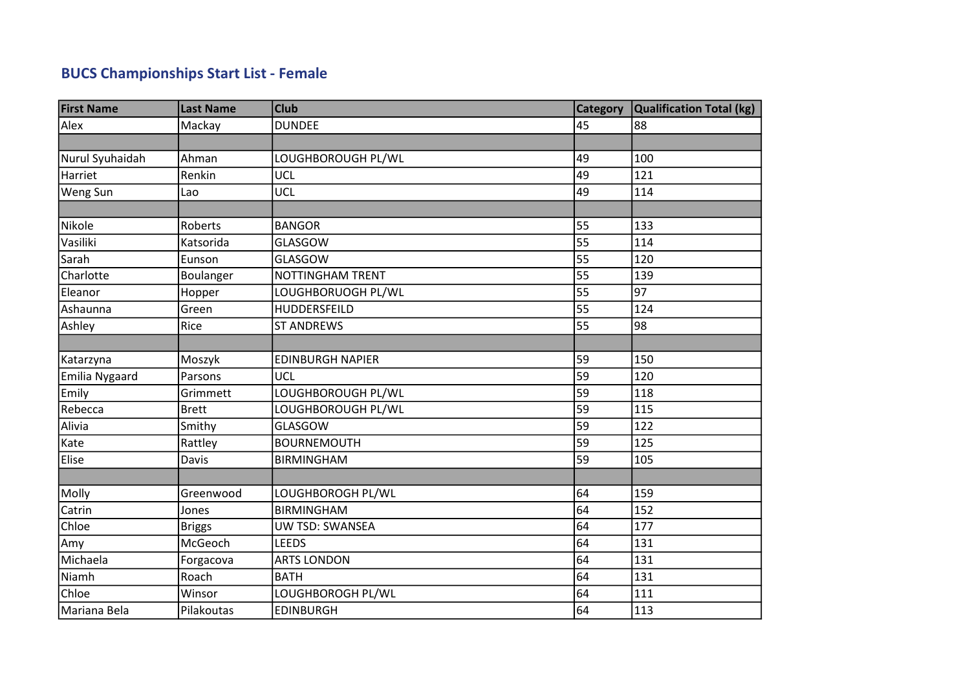## BUCS Championships Start List - Female

| <b>First Name</b> | <b>Last Name</b> | <b>Club</b>             | <b>Category</b> | Qualification Total (kg) |
|-------------------|------------------|-------------------------|-----------------|--------------------------|
| Alex              | Mackay           | <b>DUNDEE</b>           | 45              | 88                       |
|                   |                  |                         |                 |                          |
| Nurul Syuhaidah   | Ahman            | LOUGHBOROUGH PL/WL      | 49              | 100                      |
| Harriet           | Renkin           | <b>UCL</b>              | 49              | 121                      |
| Weng Sun          | Lao              | UCL                     | 49              | 114                      |
|                   |                  |                         |                 |                          |
| Nikole            | Roberts          | <b>BANGOR</b>           | 55              | 133                      |
| Vasiliki          | Katsorida        | <b>GLASGOW</b>          | 55              | 114                      |
| Sarah             | Eunson           | <b>GLASGOW</b>          | 55              | 120                      |
| Charlotte         | Boulanger        | <b>NOTTINGHAM TRENT</b> | 55              | 139                      |
| Eleanor           | Hopper           | LOUGHBORUOGH PL/WL      | 55              | 97                       |
| Ashaunna          | Green            | HUDDERSFEILD            | 55              | 124                      |
| Ashley            | Rice             | <b>ST ANDREWS</b>       | 55              | 98                       |
|                   |                  |                         |                 |                          |
| Katarzyna         | Moszyk           | <b>EDINBURGH NAPIER</b> | 59              | 150                      |
| Emilia Nygaard    | Parsons          | UCL                     | 59              | 120                      |
| Emily             | Grimmett         | LOUGHBOROUGH PL/WL      | 59              | 118                      |
| Rebecca           | <b>Brett</b>     | LOUGHBOROUGH PL/WL      | 59              | 115                      |
| Alivia            | Smithy           | <b>GLASGOW</b>          | 59              | 122                      |
| Kate              | Rattley          | <b>BOURNEMOUTH</b>      | 59              | 125                      |
| Elise             | Davis            | <b>BIRMINGHAM</b>       | 59              | 105                      |
|                   |                  |                         |                 |                          |
| Molly             | Greenwood        | LOUGHBOROGH PL/WL       | 64              | 159                      |
| Catrin            | Jones            | <b>BIRMINGHAM</b>       | 64              | 152                      |
| Chloe             | <b>Briggs</b>    | <b>UW TSD: SWANSEA</b>  | 64              | 177                      |
| Amy               | McGeoch          | <b>LEEDS</b>            | 64              | 131                      |
| Michaela          | Forgacova        | <b>ARTS LONDON</b>      | 64              | 131                      |
| Niamh             | Roach            | <b>BATH</b>             | 64              | 131                      |
| Chloe             | Winsor           | LOUGHBOROGH PL/WL       | 64              | 111                      |
| Mariana Bela      | Pilakoutas       | <b>EDINBURGH</b>        | 64              | 113                      |